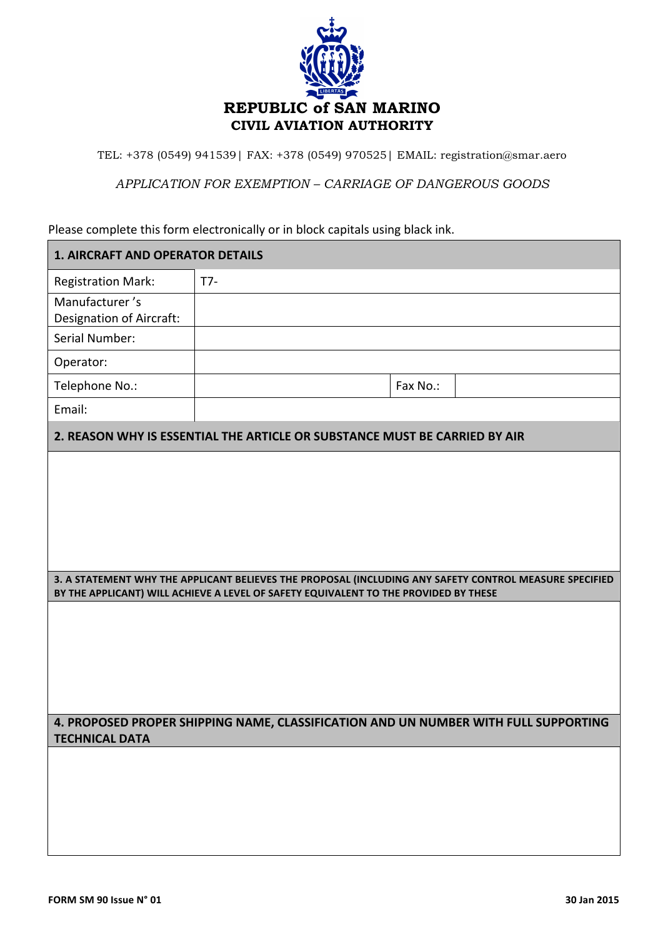

TEL: +378 (0549) 941539| FAX: +378 (0549) 970525| EMAIL: registration@smar.aero

*APPLICATION FOR EXEMPTION – CARRIAGE OF DANGEROUS GOODS*

Please complete this form electronically or in block capitals using black ink.

| <b>1. AIRCRAFT AND OPERATOR DETAILS</b>                                                                                                                                                        |       |          |
|------------------------------------------------------------------------------------------------------------------------------------------------------------------------------------------------|-------|----------|
| <b>Registration Mark:</b>                                                                                                                                                                      | $T7-$ |          |
| Manufacturer's<br>Designation of Aircraft:                                                                                                                                                     |       |          |
| Serial Number:                                                                                                                                                                                 |       |          |
| Operator:                                                                                                                                                                                      |       |          |
| Telephone No.:                                                                                                                                                                                 |       | Fax No.: |
| Email:                                                                                                                                                                                         |       |          |
| 2. REASON WHY IS ESSENTIAL THE ARTICLE OR SUBSTANCE MUST BE CARRIED BY AIR                                                                                                                     |       |          |
|                                                                                                                                                                                                |       |          |
|                                                                                                                                                                                                |       |          |
|                                                                                                                                                                                                |       |          |
|                                                                                                                                                                                                |       |          |
|                                                                                                                                                                                                |       |          |
| 3. A STATEMENT WHY THE APPLICANT BELIEVES THE PROPOSAL (INCLUDING ANY SAFETY CONTROL MEASURE SPECIFIED<br>BY THE APPLICANT) WILL ACHIEVE A LEVEL OF SAFETY EQUIVALENT TO THE PROVIDED BY THESE |       |          |
|                                                                                                                                                                                                |       |          |
|                                                                                                                                                                                                |       |          |
|                                                                                                                                                                                                |       |          |
|                                                                                                                                                                                                |       |          |
|                                                                                                                                                                                                |       |          |
| 4. PROPOSED PROPER SHIPPING NAME, CLASSIFICATION AND UN NUMBER WITH FULL SUPPORTING                                                                                                            |       |          |
| TECHNICAL DATA                                                                                                                                                                                 |       |          |
|                                                                                                                                                                                                |       |          |
|                                                                                                                                                                                                |       |          |
|                                                                                                                                                                                                |       |          |
|                                                                                                                                                                                                |       |          |